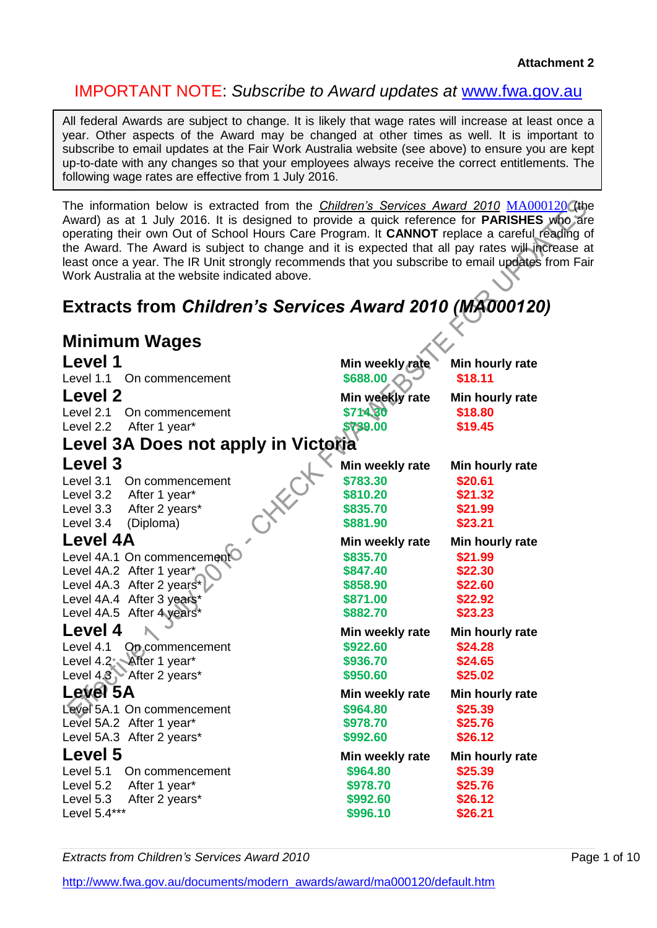### IMPORTANT NOTE: *Subscribe to Award updates at* [www.fwa.gov.au](http://www.fwa.gov.au/)

All federal Awards are subject to change. It is likely that wage rates will increase at least once a year. Other aspects of the Award may be changed at other times as well. It is important to subscribe to email updates at the Fair Work Australia website (see above) to ensure you are kept up-to-date with any changes so that your employees always receive the correct entitlements. The following wage rates are effective from 1 July 2016.

The information below is extracted from the *Children's Services Award 2010* [MA000120](http://www.fwc.gov.au/documents/modern_awards/award/ma000120/default.htm) (the Award) as at 1 July 2016. It is designed to provide a quick reference for **PARISHES** who are operating their own Out of School Hours Care Program. It **CANNOT** replace a careful reading of the Award. The Award is subject to change and it is expected that all pay rates will increase at least once a year. The IR Unit strongly recommends that you subscribe to email updates from Fair Work Australia at the website indicated above.

# **Extracts from** *Children's Services Award 2010 (MA000120)*

| <b>Minimum Wages</b>                |                 |                 |
|-------------------------------------|-----------------|-----------------|
| Level 1                             | Min weekly rate | Min hourly rate |
| Level 1.1 On commencement           | \$688.00        | \$18.11         |
| Level 2                             | Min weekly rate | Min hourly rate |
| Level 2.1 On commencement           | \$714.30        | \$18.80         |
| Level 2.2<br>After 1 year*          | \$739.00        | \$19.45         |
| Level 3A Does not apply in Victoria |                 |                 |
| Level 3                             | Min weekly rate | Min hourly rate |
| Level 3.1<br>On commencement        | \$783.30        | \$20.61         |
| Level 3.2 After 1 year*             | \$810.20        | \$21.32         |
| Level 3.3 After 2 years*            | \$835.70        | \$21.99         |
| CHAKC<br>Level 3.4<br>(Diploma)     | \$881.90        | \$23.21         |
| <b>Level 4A</b>                     | Min weekly rate | Min hourly rate |
| Level 4A.1 On commencement          | \$835.70        | \$21.99         |
| Level 4A.2 After 1 year*            | \$847.40        | \$22.30         |
| Level 4A.3 After 2 years*           | \$858.90        | \$22.60         |
| Level 4A.4 After 3 years*           | \$871.00        | \$22.92         |
| Level 4A.5 After 4 years*           | \$882.70        | \$23.23         |
| Level 4                             | Min weekly rate | Min hourly rate |
| Level 4.1<br>On commencement        | \$922.60        | \$24.28         |
| Level 4.2 After 1 year*             | \$936.70        | \$24.65         |
| Level 4.8 After 2 years*            | \$950.60        | \$25.02         |
| Level 5A                            | Min weekly rate | Min hourly rate |
| Level 5A.1 On commencement          | \$964.80        | \$25.39         |
| Level 5A.2 After 1 year*            | \$978.70        | \$25.76         |
| Level 5A.3 After 2 years*           | \$992.60        | \$26.12         |
| Level 5                             | Min weekly rate | Min hourly rate |
| Level 5.1<br>On commencement        | \$964.80        | \$25.39         |
| Level 5.2<br>After 1 year*          | \$978.70        | \$25.76         |
| Level 5.3<br>After 2 years*         | \$992.60        | \$26.12         |
| Level 5.4***                        | \$996.10        | \$26.21         |

**Extracts from Children's Services Award 2010 Page 1 of 10 Page 1 of 10**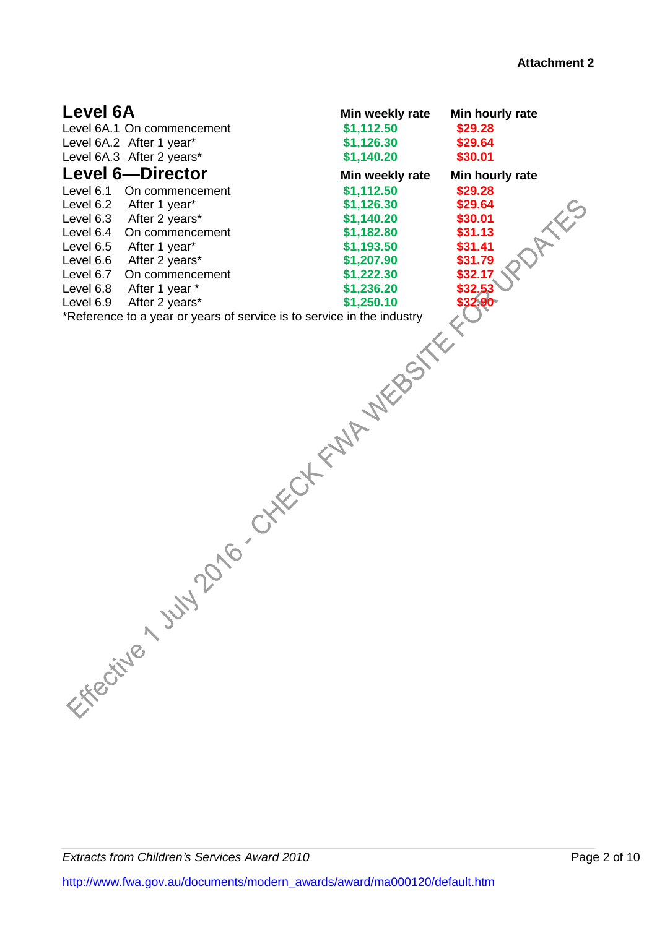| Level 6A<br>Level 6A.1 On commencement<br>Level 6A.2 After 1 year*<br>Level 6A.3 After 2 years*<br><b>Level 6-Director</b><br>Level 6.1<br>On commencement<br>Level 6.2<br>After 1 year*<br>After 2 years*<br>Level 6.3<br>Level 6.4<br>On commencement<br>Level 6.5<br>After 1 year*<br>Level 6.6<br>After 2 years*<br>Level 6.7<br>On commencement<br>Level 6.8<br>After 1 year *<br>Level 6.9<br>After 2 years*<br>*Reference to a year or years of service is to service in the industry | Min weekly rate<br>\$1,112.50<br>\$1,126.30<br>\$1,140.20<br>Min weekly rate<br>\$1,112.50<br>\$1,126.30<br>\$1,140.20<br>\$1,182.80<br>\$1,193.50<br>\$1,207.90 | Min hourly rate<br>\$29.28<br>\$29.64<br>\$30.01<br>Min hourly rate<br>\$29.28<br>\$29.64<br>AXES<br>\$30.01<br>\$31.13<br>\$31.41<br>\$31.79 |
|----------------------------------------------------------------------------------------------------------------------------------------------------------------------------------------------------------------------------------------------------------------------------------------------------------------------------------------------------------------------------------------------------------------------------------------------------------------------------------------------|------------------------------------------------------------------------------------------------------------------------------------------------------------------|-----------------------------------------------------------------------------------------------------------------------------------------------|
| V2010-OKKCOKEWAY<br>Experimental sunt                                                                                                                                                                                                                                                                                                                                                                                                                                                        |                                                                                                                                                                  |                                                                                                                                               |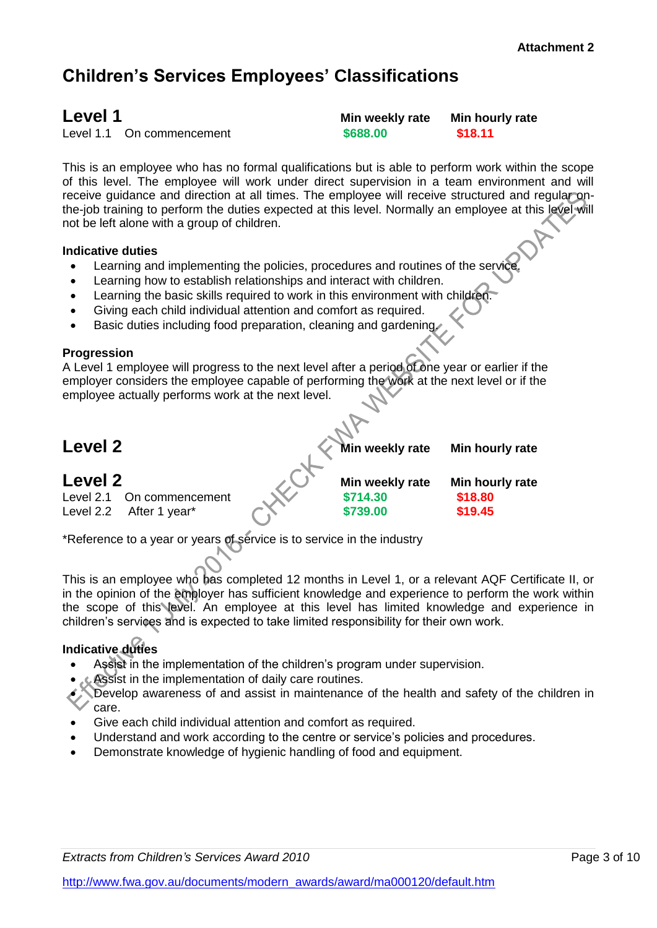# **Children's Services Employees' Classifications**

Level 1.1 On commencement **\$688.00 \$18.11**

**Level 1 Min weekly rate Min hourly rate**

This is an employee who has no formal qualifications but is able to perform work within the scope of this level. The employee will work under direct supervision in a team environment and will receive guidance and direction at all times. The employee will receive structured and regular onthe-job training to perform the duties expected at this level. Normally an employee at this level will not be left alone with a group of children.

### **Indicative duties**

- Learning and implementing the policies, procedures and routines of the service.
- Learning how to establish relationships and interact with children.
- Learning the basic skills required to work in this environment with children.
- Giving each child individual attention and comfort as required.
- Basic duties including food preparation, cleaning and gardening.

### **Progression**

A Level 1 employee will progress to the next level after a period of one year or earlier if the employer considers the employee capable of performing the work at the next level or if the employee actually performs work at the next level.

# **Level 2 Min weekly rate Min hourly rate**

| Level 2 |                           | Min weekly rate | Min hourly rate |
|---------|---------------------------|-----------------|-----------------|
|         | Level 2.1 On commencement | \$714.30        | \$18.80         |
|         | Level 2.2 After 1 year*   | \$739.00        | \$19.45         |

\*Reference to a year or years of service is to service in the industry

This is an employee who has completed 12 months in Level 1, or a relevant AQF Certificate II, or in the opinion of the employer has sufficient knowledge and experience to perform the work within the scope of this level. An employee at this level has limited knowledge and experience in children's services and is expected to take limited responsibility for their own work.

### **Indicative duties**

- Assist in the implementation of the children's program under supervision.
- Assist in the implementation of daily care routines.
- Develop awareness of and assist in maintenance of the health and safety of the children in care.
- Give each child individual attention and comfort as required.
- Understand and work according to the centre or service's policies and procedures.
- Demonstrate knowledge of hygienic handling of food and equipment.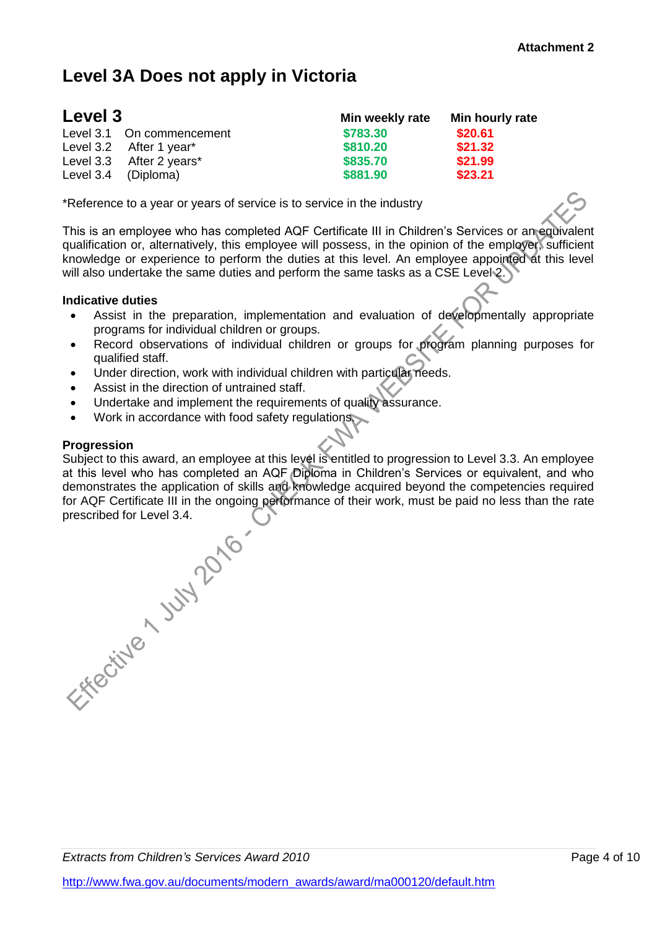# **Level 3A Does not apply in Victoria**

| Level 3 |                           | Min weekly rate | Min hourly rate |
|---------|---------------------------|-----------------|-----------------|
|         | Level 3.1 On commencement | \$783.30        | \$20.61         |
|         | Level 3.2 After 1 year*   | \$810.20        | \$21.32         |
|         | Level 3.3 After 2 years*  | \$835.70        | \$21.99         |
|         | Level 3.4 (Diploma)       | \$881.90        | \$23.21         |

\*Reference to a year or years of service is to service in the industry

This is an employee who has completed AQF Certificate III in Children's Services or an equivalent qualification or, alternatively, this employee will possess, in the opinion of the employer, sufficient knowledge or experience to perform the duties at this level. An employee appointed at this level will also undertake the same duties and perform the same tasks as a CSE Level 2.

### **Indicative duties**

- Assist in the preparation, implementation and evaluation of developmentally appropriate programs for individual children or groups.
- Record observations of individual children or groups for program planning purposes for qualified staff.
- Under direction, work with individual children with particular needs.
- Assist in the direction of untrained staff.
- Undertake and implement the requirements of quality assurance.
- Work in accordance with food safety regulations.

#### **Progression**

Subject to this award, an employee at this level is entitled to progression to Level 3.3. An employee at this level who has completed an AQF Diploma in Children's Services or equivalent, and who demonstrates the application of skills and knowledge acquired beyond the competencies required for AQF Certificate III in the ongoing performance of their work, must be paid no less than the rate

prescribed for Level 3.4.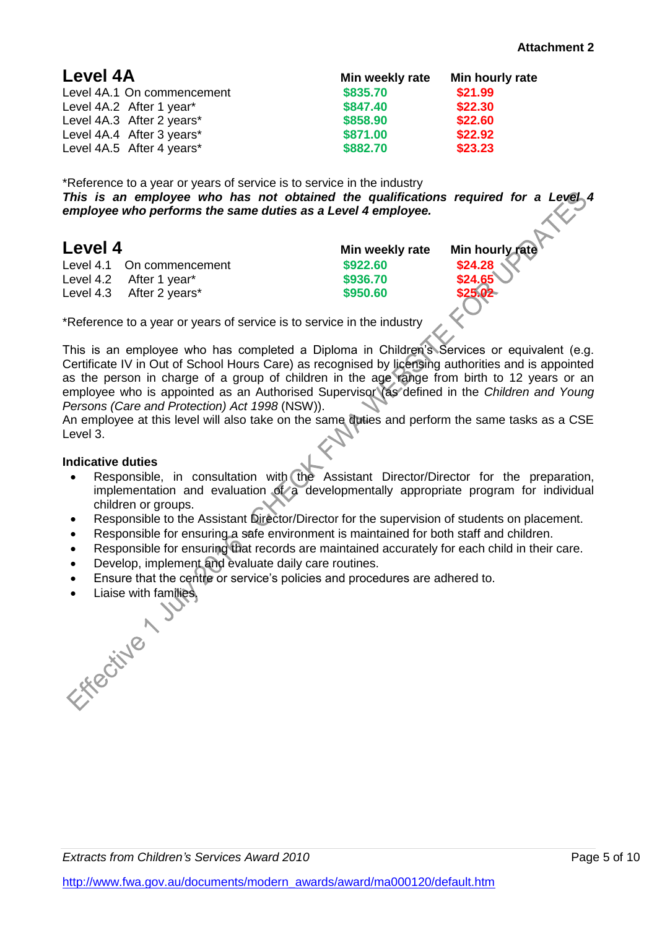| Level 4A                   | Min weekly rate | Min hourly rate |
|----------------------------|-----------------|-----------------|
| Level 4A.1 On commencement | \$835.70        | \$21.99         |
| Level 4A.2 After 1 year*   | \$847.40        | \$22.30         |
| Level 4A.3 After 2 years*  | \$858.90        | \$22.60         |
| Level 4A.4 After 3 years*  | \$871.00        | \$22.92         |
| Level 4A.5 After 4 years*  | \$882.70        | \$23.23         |

\*Reference to a year or years of service is to service in the industry *This is an employee who has not obtained the qualifications required for a Level 4 employee who performs the same duties as a Level 4 employee.*

### **Level 4 Min weekly rate Min hourly rate**

Level 4.1 On commencement **\$922.60 \$24.28** Level 4.2 After 1 year<sup>\*</sup> **8936.70** Level 4.3 After 2 years\* **\$950.60 \$25.02**

\*Reference to a year or years of service is to service in the industry

This is an employee who has completed a Diploma in Children's Services or equivalent (e.g. Certificate IV in Out of School Hours Care) as recognised by licensing authorities and is appointed as the person in charge of a group of children in the age range from birth to 12 years or an employee who is appointed as an Authorised Supervisor (as defined in the *Children and Young Persons (Care and Protection) Act 1998* (NSW)).

An employee at this level will also take on the same duties and perform the same tasks as a CSE Level 3.

### **Indicative duties**

- Responsible, in consultation with the Assistant Director/Director for the preparation, implementation and evaluation of a developmentally appropriate program for individual children or groups.
- Responsible to the Assistant Director/Director for the supervision of students on placement.
- Responsible for ensuring a safe environment is maintained for both staff and children.
- Responsible for ensuring that records are maintained accurately for each child in their care.
- Develop, implement and evaluate daily care routines.
- Ensure that the centre or service's policies and procedures are adhered to.
- 

Liaise with families.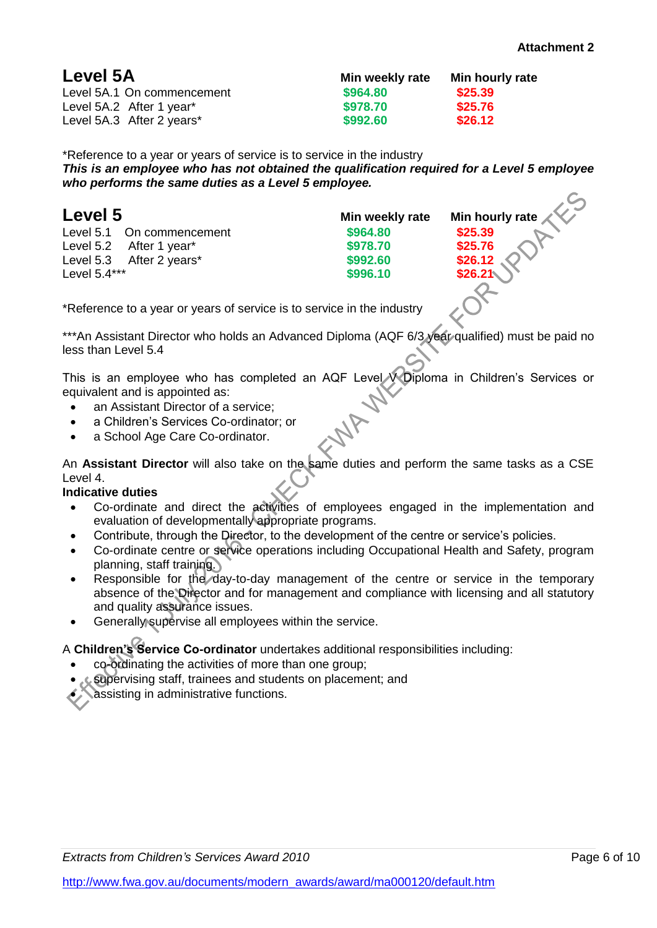| Min weekly rate | Min hourly rate |
|-----------------|-----------------|
| \$964.80        | \$25.39         |
| \$978.70        | \$25.76         |
| \$992.60        | \$26.12         |
|                 |                 |

\*Reference to a year or years of service is to service in the industry *This is an employee who has not obtained the qualification required for a Level 5 employee who performs the same duties as a Level 5 employee.*

Level 5.1 On commencement **\$964.80 \$25.39** Level 5.2 After 1 year\* **\$978.70 \$25.76** Level 5.3 After 2 years<sup>\*</sup> **\$992.60 Level 5.4\*\*\* \$996.10** 

**Min weekly rate Min hourly rate** 

\*Reference to a year or years of service is to service in the industry

\*\*\*An Assistant Director who holds an Advanced Diploma (AQF 6/3 year qualified) must be paid no less than Level 5.4

This is an employee who has completed an AQF Level V Diploma in Children's Services or equivalent and is appointed as:

- an Assistant Director of a service:
- a Children's Services Co-ordinator; or
- a School Age Care Co-ordinator.

An **Assistant Director** will also take on the same duties and perform the same tasks as a CSE Level 4.

### **Indicative duties**

- Co-ordinate and direct the activities of employees engaged in the implementation and evaluation of developmentally appropriate programs.
- Contribute, through the Director, to the development of the centre or service's policies.
- Co-ordinate centre or service operations including Occupational Health and Safety, program planning, staff training.
- Responsible for the day-to-day management of the centre or service in the temporary absence of the Director and for management and compliance with licensing and all statutory and quality assurance issues.
- Generally supervise all employees within the service.

### A **Children's Service Co-ordinator** undertakes additional responsibilities including:

- co-ordinating the activities of more than one group;
- supervising staff, trainees and students on placement; and

assisting in administrative functions.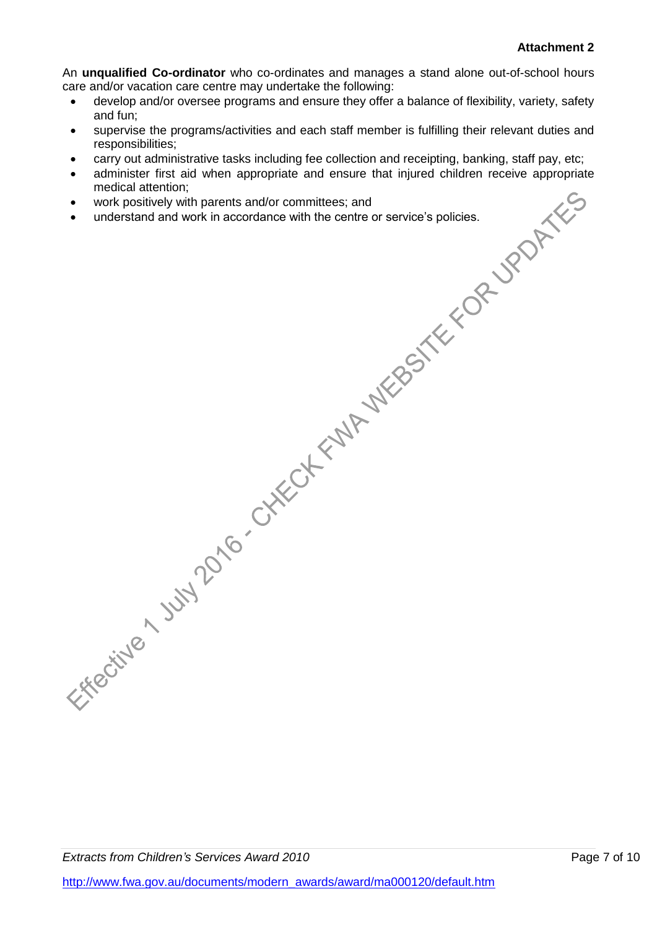An **unqualified Co-ordinator** who co-ordinates and manages a stand alone out-of-school hours care and/or vacation care centre may undertake the following:

- develop and/or oversee programs and ensure they offer a balance of flexibility, variety, safety and fun;
- supervise the programs/activities and each staff member is fulfilling their relevant duties and responsibilities;
- carry out administrative tasks including fee collection and receipting, banking, staff pay, etc;
- administer first aid when appropriate and ensure that injured children receive appropriate medical attention;
- work positively with parents and/or committees; and
- understand and work in accordance with the centre or service's policies.

*Extracts from Children's Services Award 2010* **Page 7 of 10 Page 7 of 10**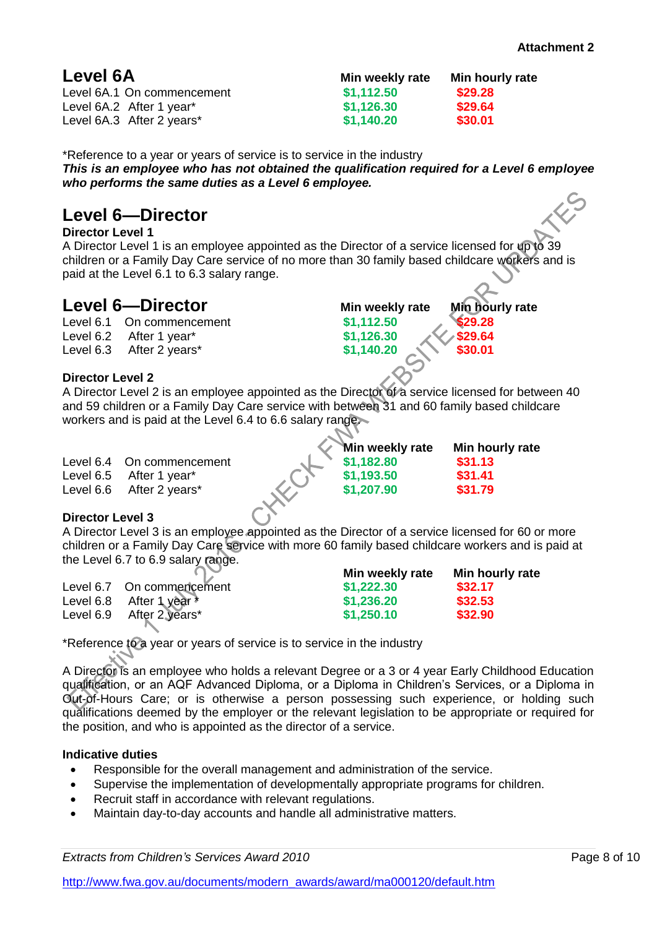| Min weekly rate | Min hourly rate |
|-----------------|-----------------|
| \$1,112.50      | \$29.28         |
| \$1,126.30      | \$29.64         |
| \$1,140.20      | \$30.01         |
|                 |                 |

\*Reference to a year or years of service is to service in the industry *This is an employee who has not obtained the qualification required for a Level 6 employee who performs the same duties as a Level 6 employee.*

## **Level 6—Director**

**Director Level 1**

A Director Level 1 is an employee appointed as the Director of a service licensed for up to 39 children or a Family Day Care service of no more than 30 family based childcare workers and is paid at the Level 6.1 to 6.3 salary range.

## **Level 6—Director Min weekly rate Min hourly rate**

Level 6.1 On commencement **\$1,112.50 \$29.28** Level 6.2 After 1 year\* **\$1,126.30 \$29.64** Level 6.3 After 2 years\* **\$1,140.20 \$30.01** 

### **Director Level 2**

A Director Level 2 is an employee appointed as the Director of a service licensed for between 40 and 59 children or a Family Day Care service with between 31 and 60 family based childcare workers and is paid at the Level 6.4 to 6.6 salary range.

| Level 6.4 On commencement<br>Level 6.5 After 1 year*<br>Level 6.6 After 2 years* | Min weekly rate<br>\$1,182.80<br>\$1,193.50<br>\$1,207.90 | Min hourly rate<br>\$31.13<br>\$31.41<br>\$31.79 |
|----------------------------------------------------------------------------------|-----------------------------------------------------------|--------------------------------------------------|
|                                                                                  |                                                           |                                                  |

### **Director Level 3**

A Director Level 3 is an employee appointed as the Director of a service licensed for 60 or more children or a Family Day Care service with more 60 family based childcare workers and is paid at the Level 6.7 to 6.9 salary range.

| $\sim$                     | Min weekly rate | Min hourly rate |
|----------------------------|-----------------|-----------------|
| Level 6.7 On commencement  | \$1,222.30      | \$32.17         |
| Level 6.8 After 1 year $*$ | \$1,236.20      | \$32.53         |
| Level 6.9 After 2 years*   | \$1,250.10      | \$32.90         |

\*Reference to a year or years of service is to service in the industry

A Director is an employee who holds a relevant Degree or a 3 or 4 year Early Childhood Education qualification, or an AQF Advanced Diploma, or a Diploma in Children's Services, or a Diploma in Out-of-Hours Care; or is otherwise a person possessing such experience, or holding such qualifications deemed by the employer or the relevant legislation to be appropriate or required for the position, and who is appointed as the director of a service.

### **Indicative duties**

- Responsible for the overall management and administration of the service.
- Supervise the implementation of developmentally appropriate programs for children.
- Recruit staff in accordance with relevant regulations.
- Maintain day-to-day accounts and handle all administrative matters.

*Extracts from Children's Services Award 2010* Page 8 of 10

[http://www.fwa.gov.au/documents/modern\\_awards/award/ma000120/default.htm](http://www.fwa.gov.au/documents/modern_awards/award/ma000120/default.htm)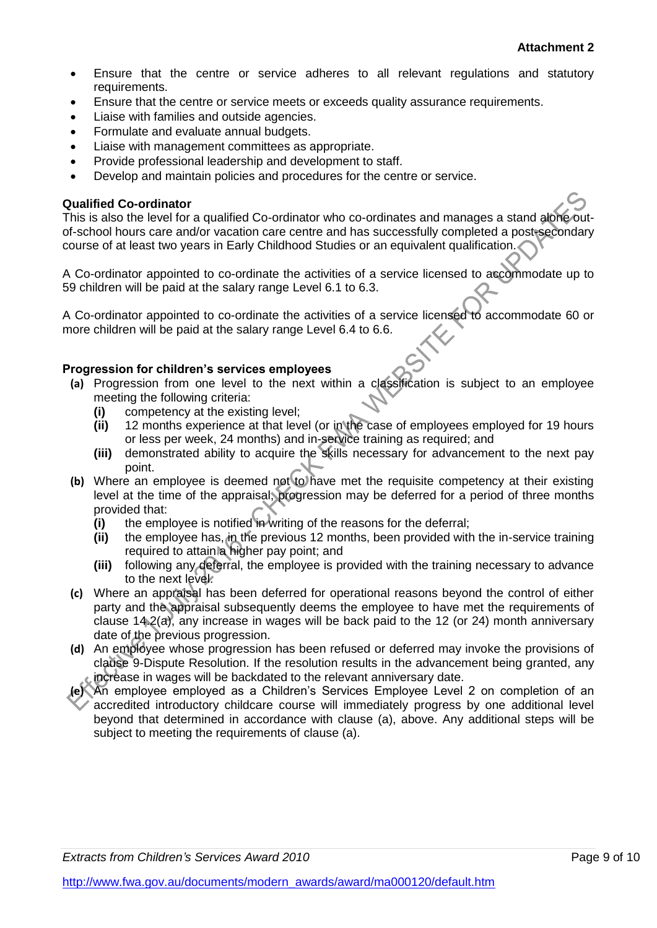- Ensure that the centre or service adheres to all relevant regulations and statutory requirements.
- Ensure that the centre or service meets or exceeds quality assurance requirements.
- Liaise with families and outside agencies.
- Formulate and evaluate annual budgets.
- Liaise with management committees as appropriate.
- Provide professional leadership and development to staff.
- Develop and maintain policies and procedures for the centre or service.

### **Qualified Co-ordinator**

This is also the level for a qualified Co-ordinator who co-ordinates and manages a stand alone outof-school hours care and/or vacation care centre and has successfully completed a post-secondary course of at least two years in Early Childhood Studies or an equivalent qualification.

A Co-ordinator appointed to co-ordinate the activities of a service licensed to accommodate up to 59 children will be paid at the salary range Level 6.1 to 6.3.

A Co-ordinator appointed to co-ordinate the activities of a service licensed to accommodate 60 or more children will be paid at the salary range Level 6.4 to 6.6.

### **Progression for children's services employees**

- **(a)** Progression from one level to the next within a classification is subject to an employee meeting the following criteria:
	- **(i)** competency at the existing level;
	- **(ii)** 12 months experience at that level (or in the case of employees employed for 19 hours or less per week, 24 months) and in-service training as required; and
	- **(iii)** demonstrated ability to acquire the skills necessary for advancement to the next pay point.
- **(b)** Where an employee is deemed not to have met the requisite competency at their existing level at the time of the appraisal, progression may be deferred for a period of three months provided that:
	- **(i)** the employee is notified in writing of the reasons for the deferral;
	- **(ii)** the employee has, in the previous 12 months, been provided with the in-service training required to attain a higher pay point; and
	- **(iii)** following any deferral, the employee is provided with the training necessary to advance to the next level.
- **(c)** Where an appraisal has been deferred for operational reasons beyond the control of either party and the appraisal subsequently deems the employee to have met the requirements of clause 14.2(a), any increase in wages will be back paid to the 12 (or 24) month anniversary date of the previous progression.
- **(d)** An employee whose progression has been refused or deferred may invoke the provisions of clause 9-Dispute Resolution. If the resolution results in the advancement being granted, any increase in wages will be backdated to the relevant anniversary date.
- **(e)** An employee employed as a Children's Services Employee Level 2 on completion of an accredited introductory childcare course will immediately progress by one additional level beyond that determined in accordance with clause (a), above. Any additional steps will be subject to meeting the requirements of clause (a).